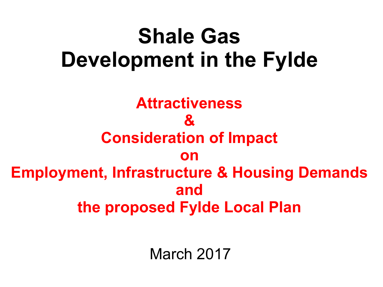# **Shale Gas Development in the Fylde**

**Attractiveness & Consideration of Impact on Employment, Infrastructure & Housing Demands and the proposed Fylde Local Plan**

March 2017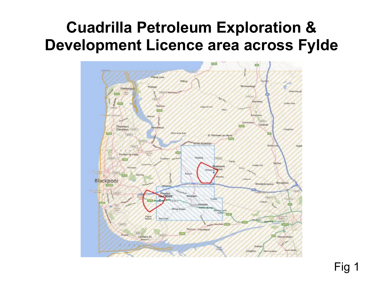# **Cuadrilla Petroleum Exploration & Development Licence area across Fylde**

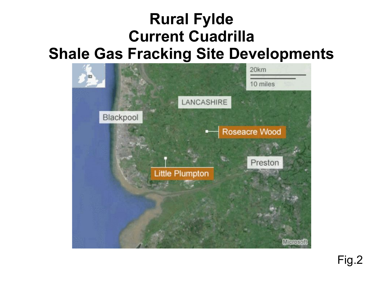# **Rural Fylde Current Cuadrilla Shale Gas Fracking Site Developments**

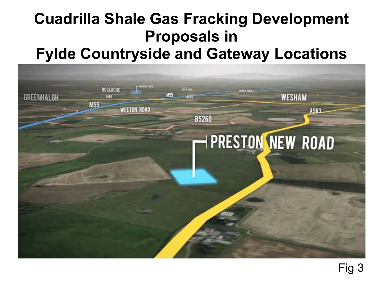# **Cuadrilla Shale Gas Fracking Development Proposals in Fylde Countryside and Gateway Locations**

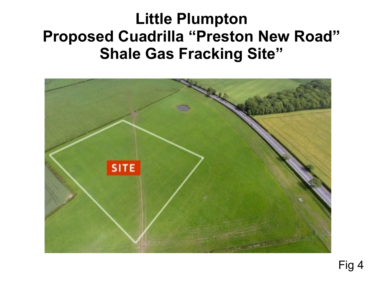## **Little Plumpton Proposed Cuadrilla "Preston New Road" Shale Gas Fracking Site"**

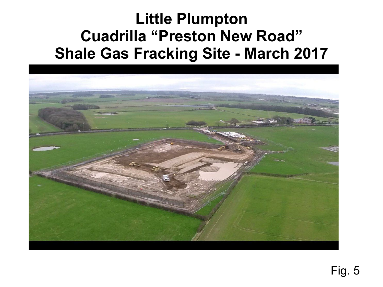# **Little Plumpton Cuadrilla "Preston New Road" Shale Gas Fracking Site - March 2017**

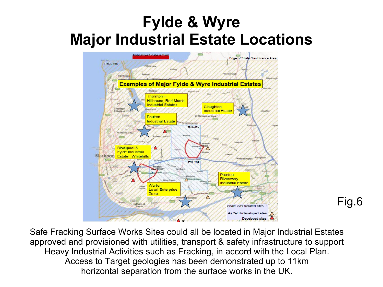# **Fylde & Wyre Major Industrial Estate Locations**



Safe Fracking Surface Works Sites could all be located in Major Industrial Estates approved and provisioned with utilities, transport & safety infrastructure to support Heavy Industrial Activities such as Fracking, in accord with the Local Plan. Access to Target geologies has been demonstrated up to 11km horizontal separation from the surface works in the UK.

Fig.6